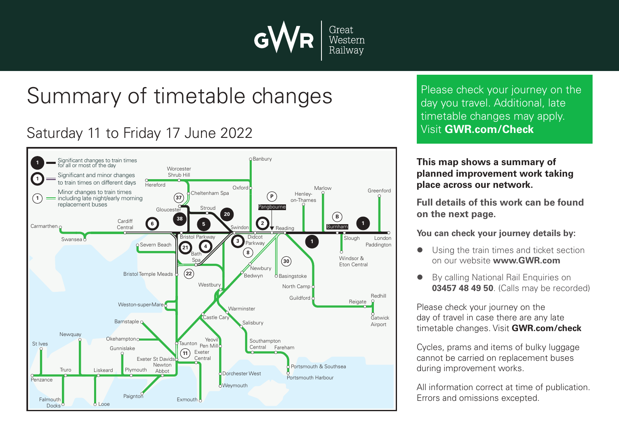

## Summary of timetable changes

## Saturday 11 to Friday 17 June 2022



Please check your journey on the day you travel. Additional, late timetable changes may apply. Visit **GWR.com/Check**

**This map shows a summary of planned improvement work taking place across our network.**

**Full details of this work can be found on the next page.**

**You can check your journey details by:**

- Using the train times and ticket section on our website **www.GWR.com**
- **By calling National Rail Enquiries on 03457 48 49 50**. (Calls may be recorded)

Please check your journey on the day of travel in case there are any late timetable changes. Visit **GWR.com/check**

Cycles, prams and items of bulky luggage cannot be carried on replacement buses during improvement works.

All information correct at time of publication. Errors and omissions excepted.